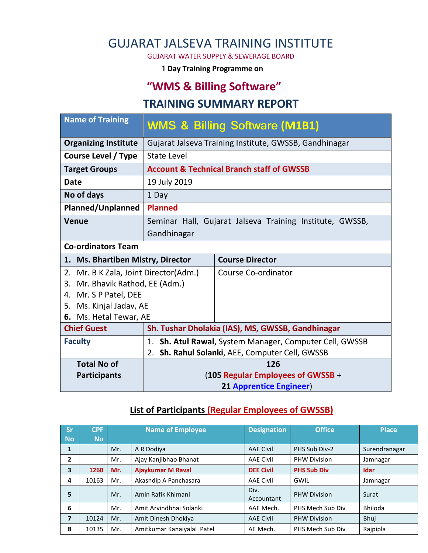# GUJARAT JALSEVA TRAINING INSTITUTE

GUJARAT WATER SUPPLY & SEWERAGE BOARD

**1 Day Training Programme on**

# **"WMS & Billing Software"**

#### **TRAINING SUMMARY REPORT**

| <b>Name of Training</b>                  |                                                             | <b>WMS &amp; Billing Software (M1B1)</b>                 |  |  |
|------------------------------------------|-------------------------------------------------------------|----------------------------------------------------------|--|--|
| <b>Organizing Institute</b>              |                                                             | Gujarat Jalseva Training Institute, GWSSB, Gandhinagar   |  |  |
| Course Level / Type                      | <b>State Level</b>                                          |                                                          |  |  |
| <b>Target Groups</b>                     |                                                             | <b>Account &amp; Technical Branch staff of GWSSB</b>     |  |  |
| Date                                     | 19 July 2019                                                |                                                          |  |  |
| No of days                               | 1 Day                                                       |                                                          |  |  |
| <b>Planned/Unplanned</b>                 | <b>Planned</b>                                              |                                                          |  |  |
| Venue                                    |                                                             | Seminar Hall, Gujarat Jalseva Training Institute, GWSSB, |  |  |
|                                          | Gandhinagar                                                 |                                                          |  |  |
| <b>Co-ordinators Team</b>                |                                                             |                                                          |  |  |
|                                          | <b>Course Director</b><br>1. Ms. Bhartiben Mistry, Director |                                                          |  |  |
| Mr. B K Zala, Joint Director(Adm.)<br>2. |                                                             | Course Co-ordinator                                      |  |  |
| Mr. Bhavik Rathod, EE (Adm.)<br>3.       |                                                             |                                                          |  |  |
| 4.                                       | Mr. S P Patel, DEE                                          |                                                          |  |  |
| Ms. Kinjal Jadav, AE<br>5.               |                                                             |                                                          |  |  |
| 6. Ms. Hetal Tewar, AE                   |                                                             |                                                          |  |  |
| <b>Chief Guest</b>                       | Sh. Tushar Dholakia (IAS), MS, GWSSB, Gandhinagar           |                                                          |  |  |
| <b>Faculty</b>                           |                                                             | 1. Sh. Atul Rawal, System Manager, Computer Cell, GWSSB  |  |  |
|                                          | Sh. Rahul Solanki, AEE, Computer Cell, GWSSB<br>2.          |                                                          |  |  |
| <b>Total No of</b>                       | 126                                                         |                                                          |  |  |
| <b>Participants</b>                      | (105 Regular Employees of GWSSB +                           |                                                          |  |  |
|                                          |                                                             |                                                          |  |  |

#### **List of Participants (Regular Employees of GWSSB)**

| /Sr/           | <b>CPF</b> |     | <b>Name of Employee</b>    | <b>Designation</b> | <b>Office</b>       | <b>Place</b>  |
|----------------|------------|-----|----------------------------|--------------------|---------------------|---------------|
| <b>No</b>      | <b>No</b>  |     |                            |                    |                     |               |
| 1              |            | Mr. | A R Dodiya                 | <b>AAE Civil</b>   | PHS Sub Div-2       | Surendranagar |
| 2              |            | Mr. | Ajay Kanjibhao Bhanat      | <b>AAE Civil</b>   | <b>PHW Division</b> | Jamnagar      |
| 3              | 1260       | Mr. | <b>Ajaykumar M Raval</b>   | <b>DEE Civil</b>   | <b>PHS Sub Div</b>  | Idar          |
| 4              | 10163      | Mr. | Akashdip A Panchasara      | <b>AAE Civil</b>   | GWIL                | Jamnagar      |
| 5              |            | Mr. | Amin Rafik Khimani         | Div.<br>Accountant | <b>PHW Division</b> | Surat         |
| 6              |            | Mr. | Amit Arvindbhai Solanki    | AAE Mech.          | PHS Mech Sub Div    | Bhiloda       |
| $\overline{7}$ | 10124      | Mr. | Amit Dinesh Dhokiya        | <b>AAE Civil</b>   | <b>PHW Division</b> | Bhuj          |
| 8              | 10135      | Mr. | Amitkumar Kanaiyalal Patel | AE Mech.           | PHS Mech Sub Div    | Rajpipla      |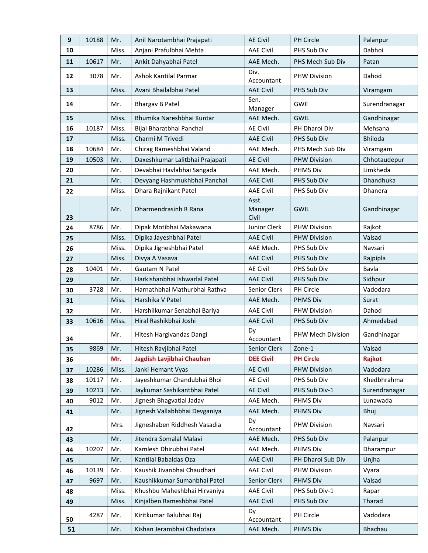| 9  | 10188 | Mr.   | Anil Narotambhai Prajapati      | <b>AE Civil</b>           | PH Circle           | Palanpur       |
|----|-------|-------|---------------------------------|---------------------------|---------------------|----------------|
| 10 |       | Miss. | Anjani Prafulbhai Mehta         | <b>AAE Civil</b>          | PHS Sub Div         | Dabhoi         |
| 11 | 10617 | Mr.   | Ankit Dahyabhai Patel           | AAE Mech.                 | PHS Mech Sub Div    | Patan          |
| 12 | 3078  | Mr.   | Ashok Kantilal Parmar           | Div.<br>Accountant        | <b>PHW Division</b> | Dahod          |
| 13 |       | Miss. | Avani Bhailalbhai Patel         | <b>AAE Civil</b>          | PHS Sub Div         | Viramgam       |
| 14 |       | Mr.   | <b>Bhargav B Patel</b>          | Sen.<br>Manager           | GWII                | Surendranagar  |
| 15 |       | Miss. | Bhumika Nareshbhai Kuntar       | AAE Mech.                 | GWIL                | Gandhinagar    |
| 16 | 10187 | Miss. | Bijal Bharatbhai Panchal        | <b>AE Civil</b>           | PH Dharoi Div       | Mehsana        |
| 17 |       | Miss. | Charmi M Trivedi                | <b>AAE Civil</b>          | PHS Sub Div         | <b>Bhiloda</b> |
| 18 | 10684 | Mr.   | Chirag Rameshbhai Valand        | AAE Mech.                 | PHS Mech Sub Div    | Viramgam       |
| 19 | 10503 | Mr.   | Daxeshkumar Lalitbhai Prajapati | <b>AE Civil</b>           | <b>PHW Division</b> | Chhotaudepur   |
| 20 |       | Mr.   | Devabhai Havlabhai Sangada      | AAE Mech.                 | <b>PHMS Div</b>     | Limkheda       |
| 21 |       | Mr.   | Devyang Hashmukhbhai Panchal    | <b>AAE Civil</b>          | PHS Sub Div         | Dhandhuka      |
| 22 |       | Miss. | Dhara Rajnikant Patel           | <b>AAE Civil</b>          | PHS Sub Div         | Dhanera        |
| 23 |       | Mr.   | Dharmendrasinh R Rana           | Asst.<br>Manager<br>Civil | GWIL                | Gandhinagar    |
| 24 | 8786  | Mr.   | Dipak Motibhai Makawana         | Junior Clerk              | PHW Division        | Rajkot         |
| 25 |       | Miss. | Dipika Jayeshbhai Patel         | <b>AAE Civil</b>          | <b>PHW Division</b> | Valsad         |
| 26 |       | Miss. | Dipika Jigneshbhai Patel        | AAE Mech.                 | PHS Sub Div         | Navsari        |
| 27 |       | Miss. | Divya A Vasava                  | <b>AAE Civil</b>          | PHS Sub Div         | Rajpipla       |
| 28 | 10401 | Mr.   | Gautam N Patel                  | <b>AE Civil</b>           | PHS Sub Div         | Bavla          |
| 29 |       | Mr.   | Harkishanbhai Ishwarlal Patel   | <b>AAE Civil</b>          | PHS Sub Div         | Sidhpur        |
| 30 | 3728  | Mr.   | Harnathbhai Mathurbhai Rathva   | Senior Clerk              | PH Circle           | Vadodara       |
| 31 |       | Miss. | Harshika V Patel                | AAE Mech.                 | <b>PHMS Div</b>     | Surat          |
| 32 |       | Mr.   | Harshilkumar Senabhai Bariya    | <b>AAE Civil</b>          | <b>PHW Division</b> | Dahod          |
| 33 | 10616 | Miss. | Hiral Rashikbhai Joshi          | <b>AAE Civil</b>          | PHS Sub Div         | Ahmedabad      |
| 34 |       | Mr.   | Hitesh Hargivandas Dangi        | Dy<br>Accountant          | PHW Mech Division   | Gandhinagar    |
| 35 | 9869  | Mr.   | Hitesh Ravjibhai Patel          | Senior Clerk              | Zone-1              | Valsad         |
| 36 |       | Mr.   | Jagdish Lavjibhai Chauhan       | <b>DEE Civil</b>          | <b>PH Circle</b>    | Rajkot         |
| 37 | 10286 | Miss. | Janki Hemant Vyas               | <b>AE Civil</b>           | <b>PHW Division</b> | Vadodara       |
| 38 | 10117 | Mr.   | Jayeshkumar Chandubhai Bhoi     | <b>AE Civil</b>           | PHS Sub Div         | Khedbhrahma    |
| 39 | 10213 | Mr.   | Jaykumar Sashikantbhai Patel    | <b>AE Civil</b>           | PHS Sub Div-1       | Surendranagar  |
| 40 | 9012  | Mr.   | Jignesh Bhagvatlal Jadav        | AAE Mech.                 | PHMS Div            | Lunawada       |
| 41 |       | Mr.   | Jignesh Vallabhbhai Devganiya   | AAE Mech.                 | <b>PHMS Div</b>     | Bhuj           |
| 42 |       | Mrs.  | Jigneshaben Riddhesh Vasadia    | Dy<br>Accountant          | <b>PHW Division</b> | Navsari        |
| 43 |       | Mr.   | Jitendra Somalal Malavi         | AAE Mech.                 | PHS Sub Div         | Palanpur       |
| 44 | 10207 | Mr.   | Kamlesh Dhirubhai Patel         | AAE Mech.                 | PHMS Div            | Dharampur      |
| 45 |       | Mr.   | Kantilal Babaldas Oza           | <b>AAE Civil</b>          | PH Dharoi Sub Div   | Unjha          |
| 46 | 10139 | Mr.   | Kaushik Jivanbhai Chaudhari     | <b>AAE Civil</b>          | <b>PHW Division</b> | Vyara          |
| 47 | 9697  | Mr.   | Kaushikkumar Sumanbhai Patel    | Senior Clerk              | PHMS Div            | Valsad         |
| 48 |       | Miss. | Khushbu Maheshbhai Hirvaniya    | <b>AAE Civil</b>          | PHS Sub Div-1       | Rapar          |
| 49 |       | Miss. | Kinjalben Rameshbhai Patel      | <b>AAE Civil</b>          | PHS Sub Div         | Tharad         |
| 50 | 4287  | Mr.   | Kiritkumar Balubhai Raj         | Dy<br>Accountant          | PH Circle           | Vadodara       |
| 51 |       | Mr.   | Kishan Jerambhai Chadotara      | AAE Mech.                 | PHMS Div            | <b>Bhachau</b> |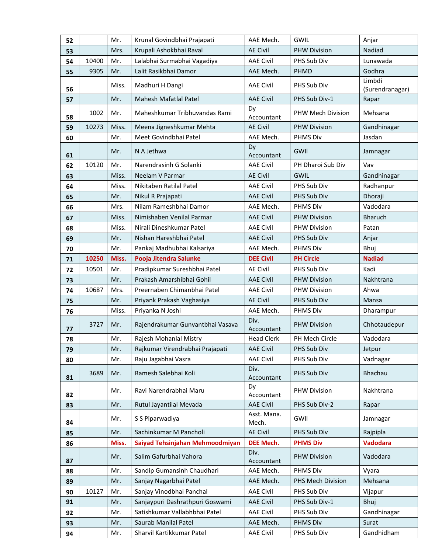| 52 |       | Mr.   | Krunal Govindbhai Prajapati      | AAE Mech.            | <b>GWIL</b>                              | Anjar           |
|----|-------|-------|----------------------------------|----------------------|------------------------------------------|-----------------|
| 53 |       | Mrs.  | Krupali Ashokbhai Raval          | <b>AE Civil</b>      | <b>PHW Division</b>                      | Nadiad          |
| 54 | 10400 | Mr.   | Lalabhai Surmabhai Vagadiya      | <b>AAE Civil</b>     | PHS Sub Div                              | Lunawada        |
| 55 | 9305  | Mr.   | Lalit Rasikbhai Damor            | AAE Mech.            | PHMD                                     | Godhra          |
| 56 |       | Miss. | Madhuri H Dangi                  | <b>AAE Civil</b>     | Limbdi<br>PHS Sub Div<br>(Surendranagar) |                 |
| 57 |       | Mr.   | Mahesh Mafatlal Patel            | <b>AAE Civil</b>     | PHS Sub Div-1                            | Rapar           |
| 58 | 1002  | Mr.   | Maheshkumar Tribhuvandas Rami    | Dy<br>Accountant     | PHW Mech Division                        | Mehsana         |
| 59 | 10273 | Miss. | Meena Jigneshkumar Mehta         | <b>AE Civil</b>      | <b>PHW Division</b>                      | Gandhinagar     |
| 60 |       | Mr.   | Meet Govindbhai Patel            | AAE Mech.            | <b>PHMS Div</b>                          | Jasdan          |
| 61 |       | Mr.   | N A Jethwa                       | Dy<br>Accountant     | GWII                                     | Jamnagar        |
| 62 | 10120 | Mr.   | Narendrasinh G Solanki           | <b>AAE Civil</b>     | PH Dharoi Sub Div                        | Vav             |
| 63 |       | Miss. | Neelam V Parmar                  | <b>AE Civil</b>      | <b>GWIL</b>                              | Gandhinagar     |
| 64 |       | Miss. | Nikitaben Ratilal Patel          | <b>AAE Civil</b>     | PHS Sub Div                              | Radhanpur       |
| 65 |       | Mr.   | Nikul R Prajapati                | <b>AAE Civil</b>     | PHS Sub Div                              | Dhoraji         |
| 66 |       | Mrs.  | Nilam Rameshbhai Damor           | AAE Mech.            | <b>PHMS Div</b>                          | Vadodara        |
| 67 |       | Miss. | Nimishaben Venilal Parmar        | <b>AAE Civil</b>     | <b>PHW Division</b>                      | <b>Bharuch</b>  |
| 68 |       | Miss. | Nirali Dineshkumar Patel         | <b>AAE Civil</b>     | <b>PHW Division</b>                      | Patan           |
| 69 |       | Mr.   | Nishan Hareshbhai Patel          | <b>AAE Civil</b>     | PHS Sub Div                              | Anjar           |
| 70 |       | Mr.   | Pankaj Madhubhai Kalsariya       | AAE Mech.            | <b>PHMS Div</b><br>Bhui                  |                 |
| 71 | 10250 | Miss. | Pooja Jitendra Salunke           | <b>DEE Civil</b>     | <b>PH Circle</b>                         | <b>Nadiad</b>   |
| 72 | 10501 | Mr.   | Pradipkumar Sureshbhai Patel     | <b>AE Civil</b>      | PHS Sub Div                              | Kadi            |
| 73 |       | Mr.   | Prakash Amarshibhai Gohil        | <b>AAE Civil</b>     | <b>PHW Division</b>                      | Nakhtrana       |
| 74 | 10687 | Mrs.  | Preernaben Chimanbhai Patel      | <b>AAE Civil</b>     | <b>PHW Division</b>                      | Ahwa            |
| 75 |       | Mr.   | Priyank Prakash Vaghasiya        | <b>AE Civil</b>      | PHS Sub Div                              | Mansa           |
| 76 |       | Miss. | Priyanka N Joshi                 | AAE Mech.            | PHMS Div                                 | Dharampur       |
| 77 | 3727  | Mr.   | Rajendrakumar Gunvantbhai Vasava | Div.<br>Accountant   | <b>PHW Division</b>                      | Chhotaudepur    |
| 78 |       | Mr.   | Rajesh Mohanlal Mistry           | <b>Head Clerk</b>    | PH Mech Circle                           | Vadodara        |
| 79 |       | Mr.   | Rajkumar Virendrabhai Prajapati  | AAE Civil            | PHS Sub Div                              | Jetpur          |
| 80 |       | Mr.   | Raju Jagabhai Vasra              | <b>AAE Civil</b>     | PHS Sub Div                              | Vadnagar        |
| 81 | 3689  | Mr.   | Ramesh Salebhai Koli             | Div.<br>Accountant   | PHS Sub Div                              | Bhachau         |
| 82 |       | Mr.   | Ravi Narendrabhai Maru           | Dy<br>Accountant     | <b>PHW Division</b>                      | Nakhtrana       |
| 83 |       | Mr.   | Rutul Jayantilal Mevada          | <b>AAE Civil</b>     | PHS Sub Div-2                            | Rapar           |
| 84 |       | Mr.   | S S Piparwadiya                  | Asst. Mana.<br>Mech. | GWII                                     | Jamnagar        |
| 85 |       | Mr.   | Sachinkumar M Pancholi           | <b>AE Civil</b>      | PHS Sub Div                              | Rajpipla        |
| 86 |       | Miss. | Saiyad Tehsinjahan Mehmoodmiyan  | <b>DEE Mech.</b>     | <b>PHMS Div</b>                          | <b>Vadodara</b> |
| 87 |       | Mr.   | Salim Gafurbhai Vahora           | Div.<br>Accountant   | <b>PHW Division</b>                      | Vadodara        |
| 88 |       | Mr.   | Sandip Gumansinh Chaudhari       | AAE Mech.            | PHMS Div                                 | Vyara           |
| 89 |       | Mr.   | Sanjay Nagarbhai Patel           | AAE Mech.            | PHS Mech Division                        | Mehsana         |
| 90 | 10127 | Mr.   | Sanjay Vinodbhai Panchal         | <b>AAE Civil</b>     | PHS Sub Div                              | Vijapur         |
| 91 |       | Mr.   | Sanjaypuri Dashrathpuri Goswami  | <b>AAE Civil</b>     | PHS Sub Div-1                            | Bhuj            |
| 92 |       | Mr.   | Satishkumar Vallabhbhai Patel    | <b>AAE Civil</b>     | PHS Sub Div                              | Gandhinagar     |
| 93 |       | Mr.   | Saurab Manilal Patel             | AAE Mech.            | <b>PHMS Div</b>                          | Surat           |
| 94 |       | Mr.   | Sharvil Kartikkumar Patel        | <b>AAE Civil</b>     | PHS Sub Div                              | Gandhidham      |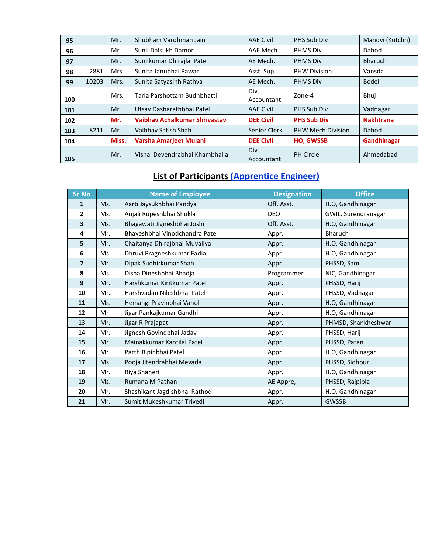| 95  |       | Mr.   | Shubham Vardhman Jain          | <b>AAE Civil</b>   | PHS Sub Div              | Mandvi (Kutchh)  |
|-----|-------|-------|--------------------------------|--------------------|--------------------------|------------------|
| 96  |       | Mr.   | Sunil Dalsukh Damor            | AAE Mech.          | <b>PHMS Div</b>          | Dahod            |
| 97  |       | Mr.   | Sunilkumar Dhirajlal Patel     | AE Mech.           | <b>PHMS Div</b>          | <b>Bharuch</b>   |
| 98  | 2881  | Mrs.  | Sunita Janubhai Pawar          | Asst. Sup.         | <b>PHW Division</b>      | Vansda           |
| 99  | 10203 | Mrs.  | Sunita Satyasinh Rathva        | AE Mech.           | <b>PHMS Div</b>          | <b>Bodeli</b>    |
| 100 |       | Mrs.  | Tarla Parshottam Budhbhatti    | Div.<br>Accountant | Zone-4                   | Bhuj             |
| 101 |       | Mr.   | Utsay Dasharathbhai Patel      | <b>AAE Civil</b>   | PHS Sub Div              | Vadnagar         |
| 102 |       | Mr.   | Vaibhay Achalkumar Shrivastav  | <b>DEE Civil</b>   | <b>PHS Sub Div</b>       | <b>Nakhtrana</b> |
| 103 | 8211  | Mr.   | Vaibhay Satish Shah            | Senior Clerk       | <b>PHW Mech Division</b> | Dahod            |
| 104 |       | Miss. | Varsha Amarjeet Mulani         | <b>DEE Civil</b>   | <b>HO, GWSSB</b>         | Gandhinagar      |
| 105 |       | Mr.   | Vishal Devendrabhai Khambhalia | Div.<br>Accountant | <b>PH Circle</b>         | Ahmedabad        |

### **List of Participants (Apprentice Engineer)**

| Sr No | <b>Name of Employee</b> |                                | <b>Designation</b> | <b>Office</b>       |
|-------|-------------------------|--------------------------------|--------------------|---------------------|
| 1     | Ms.                     | Aarti Jaysukhbhai Pandya       | Off. Asst.         | H.O, Gandhinagar    |
| 2     | Ms.                     | Anjali Rupeshbhai Shukla       | <b>DEO</b>         | GWIL, Surendranagar |
| 3     | Ms.                     | Bhagawati Jigneshbhai Joshi    | Off. Asst.         | H.O, Gandhinagar    |
| 4     | Mr.                     | Bhaveshbhai Vinodchandra Patel | Appr.              | Bharuch             |
| 5     | Mr.                     | Chaitanya Dhirajbhai Muvaliya  | Appr.              | H.O, Gandhinagar    |
| 6     | Ms.                     | Dhruvi Pragneshkumar Fadia     | Appr.              | H.O, Gandhinagar    |
| 7     | Mr.                     | Dipak Sudhirkumar Shah         | Appr.              | PHSSD, Sami         |
| 8     | Ms.                     | Disha Dineshbhai Bhadja        | Programmer         | NIC, Gandhinagar    |
| 9     | Mr.                     | Harshkumar Kiritkumar Patel    | Appr.              | PHSSD, Harij        |
| 10    | Mr.                     | Harshvadan Nileshbhai Patel    | Appr.              | PHSSD, Vadnagar     |
| 11    | Ms.                     | Hemangi Pravinbhai Vanol       | Appr.              | H.O, Gandhinagar    |
| 12    | Mr                      | Jigar Pankajkumar Gandhi       | Appr.              | H.O, Gandhinagar    |
| 13    | Mr.                     | Jigar R Prajapati              | Appr.              | PHMSD, Shankheshwar |
| 14    | Mr.                     | Jignesh Govindbhai Jadav       | Appr.              | PHSSD, Harij        |
| 15    | Mr.                     | Mainakkumar Kantilal Patel     | Appr.              | PHSSD, Patan        |
| 16    | Mr.                     | Parth Bipinbhai Patel          | Appr.              | H.O, Gandhinagar    |
| 17    | Ms.                     | Pooja Jitendrabhai Mevada      | Appr.              | PHSSD, Sidhpur      |
| 18    | Mr.                     | Riya Shaheri                   | Appr.              | H.O, Gandhinagar    |
| 19    | Ms.                     | Rumana M Pathan                | AE Appre,          | PHSSD, Rajpipla     |
| 20    | Mr.                     | Shashikant Jagdishbhai Rathod  | Appr.              | H.O, Gandhinagar    |
| 21    | Mr.                     | Sumit Mukeshkumar Trivedi      | Appr.              | <b>GWSSB</b>        |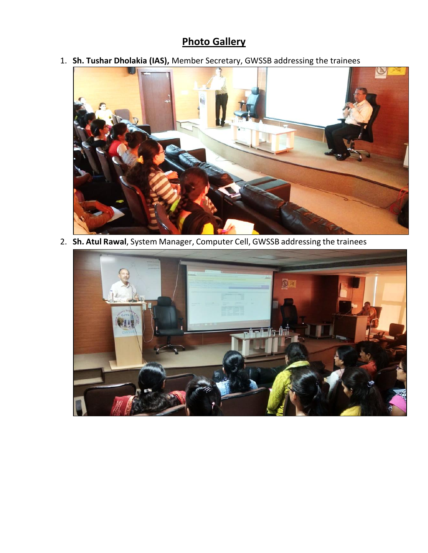### **Photo Gallery**

1. **Sh. Tushar Dholakia (IAS),** Member Secretary, GWSSB addressing the trainees



2. **Sh. Atul Rawal**, System Manager, Computer Cell, GWSSB addressing the trainees